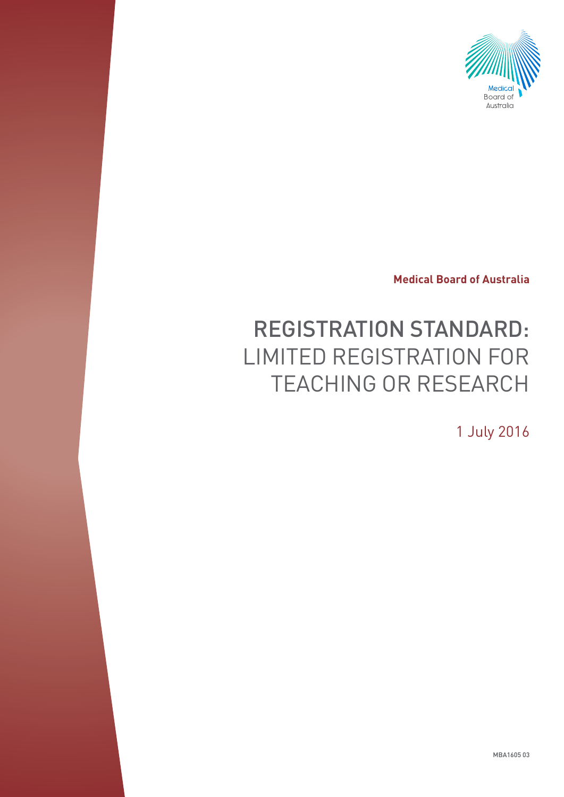

**Medical Board of Australia**

# REGISTRATION STANDARD: LIMITED REGISTRATION FOR TEACHING OR RESEARCH

1 July 2016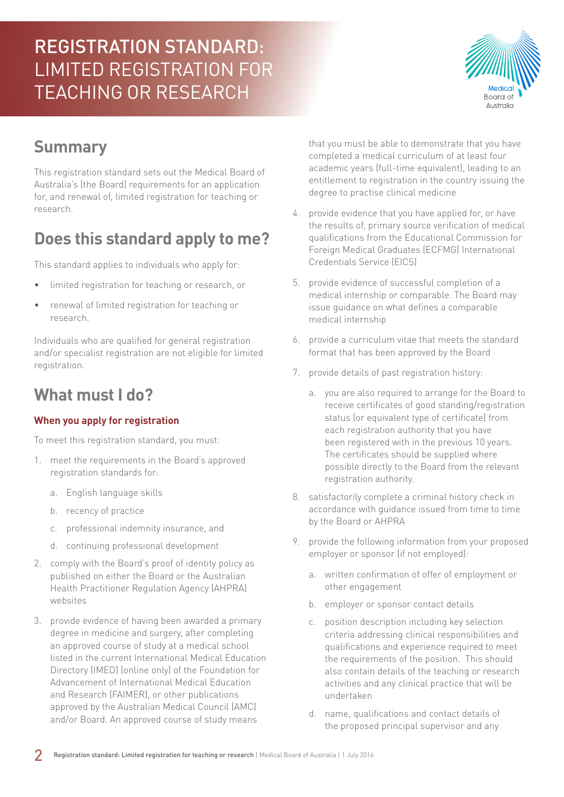

#### **Summary**

This registration standard sets out the Medical Board of Australia's (the Board) requirements for an application for, and renewal of, limited registration for teaching or research.

# **Does this standard apply to me?**

This standard applies to individuals who apply for:

- limited registration for teaching or research, or
- renewal of limited registration for teaching or research.

Individuals who are qualified for general registration and/or specialist registration are not eligible for limited registration.

#### **What must I do?**

#### **When you apply for registration**

To meet this registration standard, you must:

- 1. meet the requirements in the Board's approved registration standards for:
	- a. English language skills
	- b. recency of practice
	- c. professional indemnity insurance, and
	- d. continuing professional development
- 2. comply with the Board's proof of identity policy as published on either the Board or the Australian Health Practitioner Regulation Agency (AHPRA) websites
- 3. provide evidence of having been awarded a primary degree in medicine and surgery, after completing an approved course of study at a medical school listed in the current International Medical Education Directory (IMED) (online only) of the Foundation for Advancement of International Medical Education and Research (FAIMER), or other publications approved by the Australian Medical Council (AMC) and/or Board. An approved course of study means

that you must be able to demonstrate that you have completed a medical curriculum of at least four academic years (full-time equivalent), leading to an entitlement to registration in the country issuing the degree to practise clinical medicine

- 4. provide evidence that you have applied for, or have the results of, primary source verification of medical qualifications from the Educational Commission for Foreign Medical Graduates (ECFMG) International Credentials Service (EICS)
- 5. provide evidence of successful completion of a medical internship or comparable. The Board may issue guidance on what defines a comparable medical internship
- 6. provide a curriculum vitae that meets the standard format that has been approved by the Board
- 7. provide details of past registration history:
	- a. you are also required to arrange for the Board to receive certificates of good standing/registration status (or equivalent type of certificate) from each registration authority that you have been registered with in the previous 10 years. The certificates should be supplied where possible directly to the Board from the relevant registration authority.
- 8. satisfactorily complete a criminal history check in accordance with guidance issued from time to time by the Board or AHPRA
- 9. provide the following information from your proposed employer or sponsor (if not employed):
	- a. written confirmation of offer of employment or other engagement
	- b. employer or sponsor contact details
	- c. position description including key selection criteria addressing clinical responsibilities and qualifications and experience required to meet the requirements of the position. This should also contain details of the teaching or research activities and any clinical practice that will be undertaken
	- d. name, qualifications and contact details of the proposed principal supervisor and any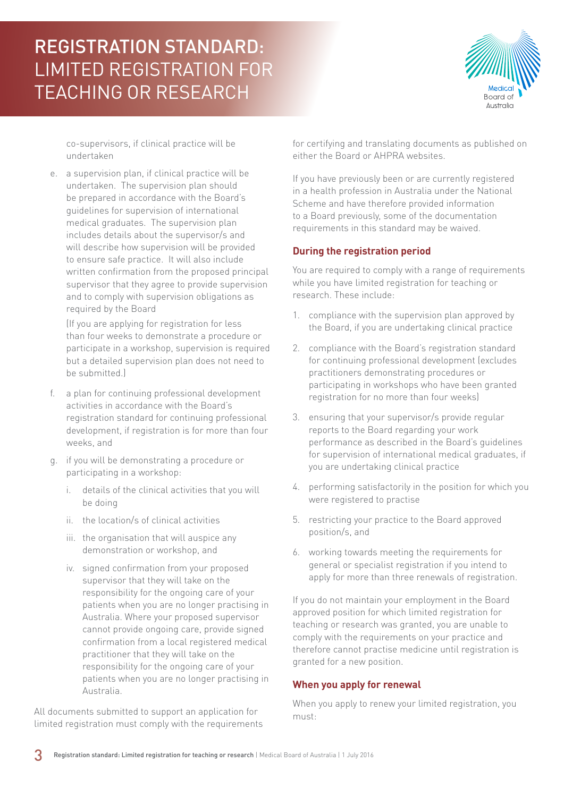

co-supervisors, if clinical practice will be undertaken

e. a supervision plan, if clinical practice will be undertaken. The supervision plan should be prepared in accordance with the Board's guidelines for supervision of international medical graduates. The supervision plan includes details about the supervisor/s and will describe how supervision will be provided to ensure safe practice. It will also include written confirmation from the proposed principal supervisor that they agree to provide supervision and to comply with supervision obligations as required by the Board

(If you are applying for registration for less than four weeks to demonstrate a procedure or participate in a workshop, supervision is required but a detailed supervision plan does not need to be submitted.)

- f. a plan for continuing professional development activities in accordance with the Board's registration standard for continuing professional development, if registration is for more than four weeks, and
- g. if you will be demonstrating a procedure or participating in a workshop:
	- i. details of the clinical activities that you will be doing
	- ii. the location/s of clinical activities
	- iii. the organisation that will auspice any demonstration or workshop, and
	- iv. signed confirmation from your proposed supervisor that they will take on the responsibility for the ongoing care of your patients when you are no longer practising in Australia. Where your proposed supervisor cannot provide ongoing care, provide signed confirmation from a local registered medical practitioner that they will take on the responsibility for the ongoing care of your patients when you are no longer practising in Australia.

All documents submitted to support an application for limited registration must comply with the requirements for certifying and translating documents as published on either the Board or AHPRA websites.

If you have previously been or are currently registered in a health profession in Australia under the National Scheme and have therefore provided information to a Board previously, some of the documentation requirements in this standard may be waived.

#### **During the registration period**

You are required to comply with a range of requirements while you have limited registration for teaching or research. These include:

- 1. compliance with the supervision plan approved by the Board, if you are undertaking clinical practice
- 2. compliance with the Board's registration standard for continuing professional development (excludes practitioners demonstrating procedures or participating in workshops who have been granted registration for no more than four weeks)
- 3. ensuring that your supervisor/s provide regular reports to the Board regarding your work performance as described in the Board's guidelines for supervision of international medical graduates, if you are undertaking clinical practice
- 4. performing satisfactorily in the position for which you were registered to practise
- 5. restricting your practice to the Board approved position/s, and
- 6. working towards meeting the requirements for general or specialist registration if you intend to apply for more than three renewals of registration.

If you do not maintain your employment in the Board approved position for which limited registration for teaching or research was granted, you are unable to comply with the requirements on your practice and therefore cannot practise medicine until registration is granted for a new position.

#### **When you apply for renewal**

When you apply to renew your limited registration, you must: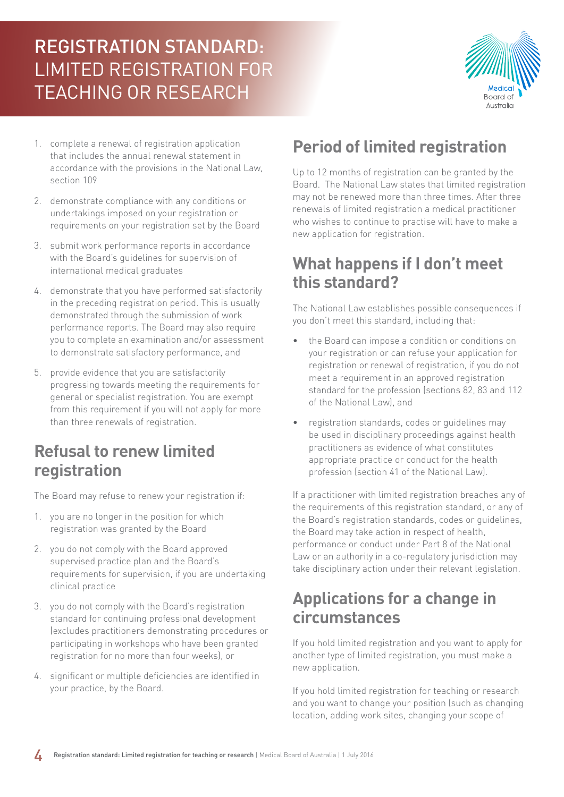

- 1. complete a renewal of registration application that includes the annual renewal statement in accordance with the provisions in the National Law, section 109
- 2. demonstrate compliance with any conditions or undertakings imposed on your registration or requirements on your registration set by the Board
- 3. submit work performance reports in accordance with the Board's guidelines for supervision of international medical graduates
- 4. demonstrate that you have performed satisfactorily in the preceding registration period. This is usually demonstrated through the submission of work performance reports. The Board may also require you to complete an examination and/or assessment to demonstrate satisfactory performance, and
- 5. provide evidence that you are satisfactorily progressing towards meeting the requirements for general or specialist registration. You are exempt from this requirement if you will not apply for more than three renewals of registration.

#### **Refusal to renew limited registration**

The Board may refuse to renew your registration if:

- 1. you are no longer in the position for which registration was granted by the Board
- 2. you do not comply with the Board approved supervised practice plan and the Board's requirements for supervision, if you are undertaking clinical practice
- 3. you do not comply with the Board's registration standard for continuing professional development (excludes practitioners demonstrating procedures or participating in workshops who have been granted registration for no more than four weeks), or
- 4. significant or multiple deficiencies are identified in your practice, by the Board.

### **Period of limited registration**

Up to 12 months of registration can be granted by the Board. The National Law states that limited registration may not be renewed more than three times. After three renewals of limited registration a medical practitioner who wishes to continue to practise will have to make a new application for registration.

#### **What happens if I don't meet this standard?**

The National Law establishes possible consequences if you don't meet this standard, including that:

- the Board can impose a condition or conditions on your registration or can refuse your application for registration or renewal of registration, if you do not meet a requirement in an approved registration standard for the profession (sections 82, 83 and 112 of the National Law), and
- registration standards, codes or guidelines may be used in disciplinary proceedings against health practitioners as evidence of what constitutes appropriate practice or conduct for the health profession (section 41 of the National Law).

If a practitioner with limited registration breaches any of the requirements of this registration standard, or any of the Board's registration standards, codes or guidelines, the Board may take action in respect of health, performance or conduct under Part 8 of the National Law or an authority in a co-regulatory jurisdiction may take disciplinary action under their relevant legislation.

#### **Applications for a change in circumstances**

If you hold limited registration and you want to apply for another type of limited registration, you must make a new application.

If you hold limited registration for teaching or research and you want to change your position (such as changing location, adding work sites, changing your scope of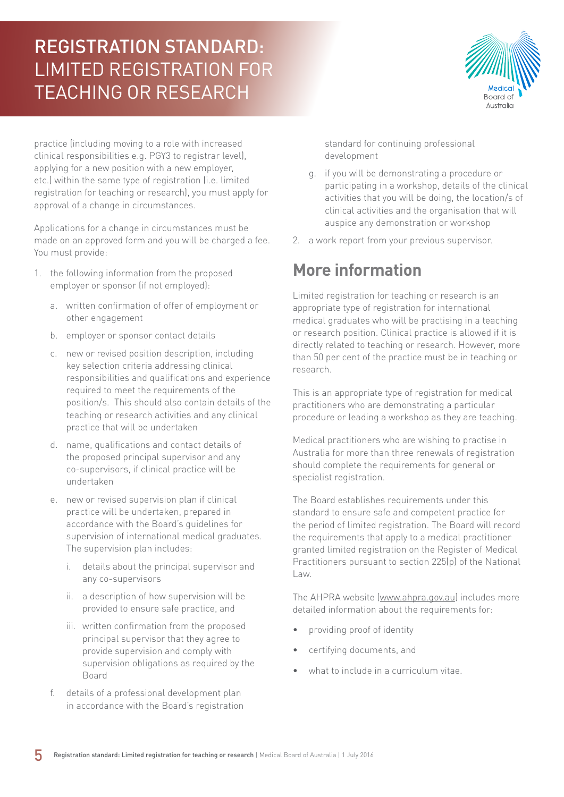

practice (including moving to a role with increased clinical responsibilities e.g. PGY3 to registrar level), applying for a new position with a new employer, etc.) within the same type of registration (i.e. limited registration for teaching or research), you must apply for approval of a change in circumstances.

Applications for a change in circumstances must be made on an approved form and you will be charged a fee. You must provide:

- 1. the following information from the proposed employer or sponsor (if not employed):
	- a. written confirmation of offer of employment or other engagement
	- b. employer or sponsor contact details
	- c. new or revised position description, including key selection criteria addressing clinical responsibilities and qualifications and experience required to meet the requirements of the position/s. This should also contain details of the teaching or research activities and any clinical practice that will be undertaken
	- d. name, qualifications and contact details of the proposed principal supervisor and any co-supervisors, if clinical practice will be undertaken
	- e. new or revised supervision plan if clinical practice will be undertaken, prepared in accordance with the Board's guidelines for supervision of international medical graduates. The supervision plan includes:
		- i. details about the principal supervisor and any co-supervisors
		- ii. a description of how supervision will be provided to ensure safe practice, and
		- iii. written confirmation from the proposed principal supervisor that they agree to provide supervision and comply with supervision obligations as required by the Board
	- f. details of a professional development plan in accordance with the Board's registration

standard for continuing professional development

- g. if you will be demonstrating a procedure or participating in a workshop, details of the clinical activities that you will be doing, the location/s of clinical activities and the organisation that will auspice any demonstration or workshop
- 2. a work report from your previous supervisor.

#### **More information**

Limited registration for teaching or research is an appropriate type of registration for international medical graduates who will be practising in a teaching or research position. Clinical practice is allowed if it is directly related to teaching or research. However, more than 50 per cent of the practice must be in teaching or research.

This is an appropriate type of registration for medical practitioners who are demonstrating a particular procedure or leading a workshop as they are teaching.

Medical practitioners who are wishing to practise in Australia for more than three renewals of registration should complete the requirements for general or specialist registration.

The Board establishes requirements under this standard to ensure safe and competent practice for the period of limited registration. The Board will record the requirements that apply to a medical practitioner granted limited registration on the Register of Medical Practitioners pursuant to section 225(p) of the National Law.

The AHPRA website [\(www.ahpra.gov.au\)](http://www.ahpra.gov.au) includes more detailed information about the requirements for:

- providing proof of identity
- certifying documents, and
- what to include in a curriculum vitae.